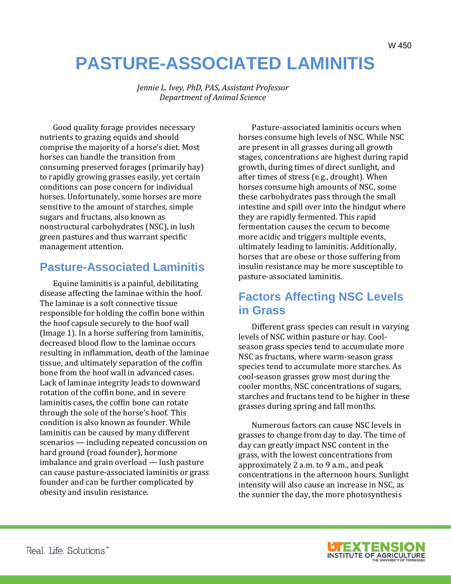# **PASTURE-ASSOCIATED LAMINITIS**

 *Jennie L. Ivey, PhD, PAS, Assistant Professor Department of Animal Science* 

Good quality forage provides necessary nutrients to grazing equids and should comprise the majority of a horse's diet. Most horses can handle the transition from consuming preserved forages (primarily hay) to rapidly growing grasses easily, yet certain conditions can pose concern for individual horses. Unfortunately, some horses are more sensitive to the amount of starches, simple sugars and fructans, also known as nonstructural carbohydrates (NSC), in lush green pastures and thus warrant specific management attention.

# **Pasture-Associated Laminitis**

Equine laminitis is a painful, debilitating disease affecting the laminae within the hoof. The laminae is a soft connective tissue responsible for holding the coffin bone within the hoof capsule securely to the hoof wall (Image 1). In a horse suffering from laminitis, decreased blood flow to the laminae occurs resulting in inflammation, death of the laminae tissue, and ultimately separation of the coffin bone from the hoof wall in advanced cases. Lack of laminae integrity leads to downward rotation of the coffin bone, and in severe laminitis cases, the coffin bone can rotate through the sole of the horse's hoof. This condition is also known as founder. While laminitis can be caused by many different scenarios — including repeated concussion on hard ground (road founder), hormone imbalance and grain overload — lush pasture can cause pasture-associated laminitis or grass founder and can be further complicated by obesity and insulin resistance.

Pasture-associated laminitis occurs when horses consume high levels of NSC. While NSC are present in all grasses during all growth stages, concentrations are highest during rapid growth, during times of direct sunlight, and after times of stress (e.g., drought). When horses consume high amounts of NSC, some these carbohydrates pass through the small intestine and spill over into the hindgut where they are rapidly fermented. This rapid fermentation causes the cecum to become more acidic and triggers multiple events, ultimately leading to laminitis. Additionally, horses that are obese or those suffering from insulin resistance may be more susceptible to pasture-associated laminitis.

# **Factors Affecting NSC Levels in Grass**

Different grass species can result in varying levels of NSC within pasture or hay. Coolseason grass species tend to accumulate more NSC as fructans, where warm-season grass species tend to accumulate more starches. As cool-season grasses grow most during the cooler months, NSC concentrations of sugars, starches and fructans tend to be higher in these grasses during spring and fall months.

Numerous factors can cause NSC levels in grasses to change from day to day. The time of day can greatly impact NSC content in the grass, with the lowest concentrations from approximately 2 a.m. to 9 a.m., and peak concentrations in the afternoon hours. Sunlight intensity will also cause an increase in NSC, as the sunnier the day, the more photosynthesis



W 450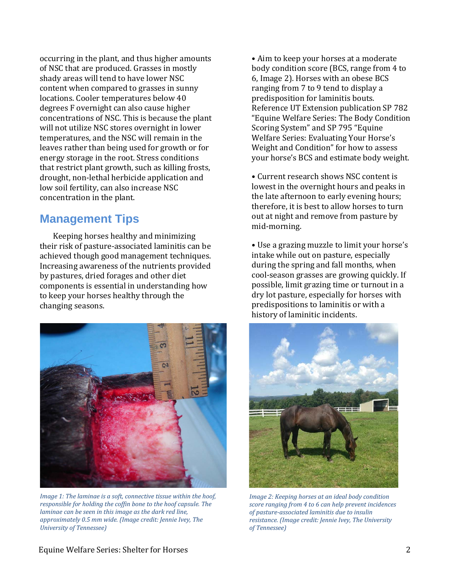occurring in the plant, and thus higher amounts of NSC that are produced. Grasses in mostly shady areas will tend to have lower NSC content when compared to grasses in sunny locations. Cooler temperatures below 40 degrees F overnight can also cause higher concentrations of NSC. This is because the plant will not utilize NSC stores overnight in lower temperatures, and the NSC will remain in the leaves rather than being used for growth or for energy storage in the root. Stress conditions that restrict plant growth, such as killing frosts, drought, non-lethal herbicide application and low soil fertility, can also increase NSC concentration in the plant.

## **Management Tips**

Keeping horses healthy and minimizing their risk of pasture-associated laminitis can be achieved though good management techniques. Increasing awareness of the nutrients provided by pastures, dried forages and other diet components is essential in understanding how to keep your horses healthy through the changing seasons.



*Image 1: The laminae is a soft, connective tissue within the hoof, responsible for holding the coffin bone to the hoof capsule. The laminae can be seen in this image as the dark red line, approximately 0.5 mm wide. (Image credit: Jennie Ivey, The University of Tennessee)*

• Aim to keep your horses at a moderate body condition score (BCS, range from 4 to 6, Image 2). Horses with an obese BCS ranging from 7 to 9 tend to display a predisposition for laminitis bouts. Reference UT Extension publication SP 782 "Equine Welfare Series: The Body Condition Scoring System" and SP 795 "Equine Welfare Series: Evaluating Your Horse's Weight and Condition" for how to assess your horse's BCS and estimate body weight.

• Current research shows NSC content is lowest in the overnight hours and peaks in the late afternoon to early evening hours; therefore, it is best to allow horses to turn out at night and remove from pasture by mid-morning.

• Use a grazing muzzle to limit your horse's intake while out on pasture, especially during the spring and fall months, when cool-season grasses are growing quickly. If possible, limit grazing time or turnout in a dry lot pasture, especially for horses with predispositions to laminitis or with a history of laminitic incidents.



*Image 2: Keeping horses at an ideal body condition score ranging from 4 to 6 can help prevent incidences of pasture-associated laminitis due to insulin resistance. (Image credit: Jennie Ivey, The University of Tennessee)*

#### Equine Welfare Series: Shelter for Horses 2